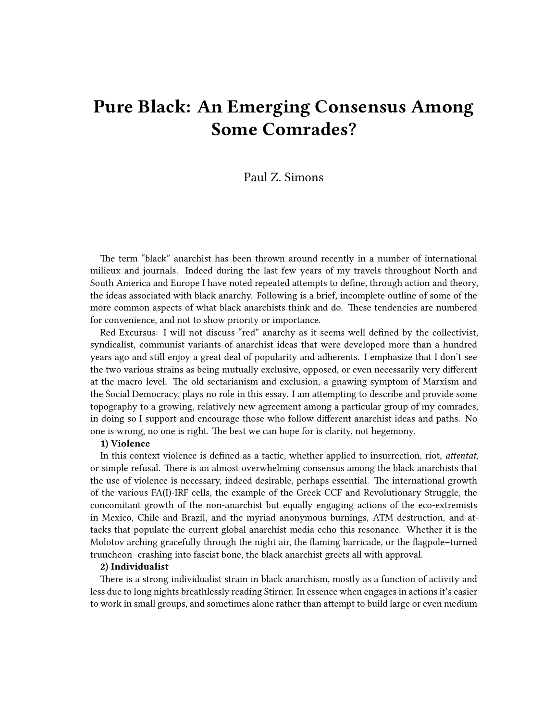# **Pure Black: An Emerging Consensus Among Some Comrades?**

# Paul Z. Simons

The term "black" anarchist has been thrown around recently in a number of international milieux and journals. Indeed during the last few years of my travels throughout North and South America and Europe I have noted repeated attempts to define, through action and theory, the ideas associated with black anarchy. Following is a brief, incomplete outline of some of the more common aspects of what black anarchists think and do. These tendencies are numbered for convenience, and not to show priority or importance.

Red Excursus: I will not discuss "red" anarchy as it seems well defined by the collectivist, syndicalist, communist variants of anarchist ideas that were developed more than a hundred years ago and still enjoy a great deal of popularity and adherents. I emphasize that I don't see the two various strains as being mutually exclusive, opposed, or even necessarily very different at the macro level. The old sectarianism and exclusion, a gnawing symptom of Marxism and the Social Democracy, plays no role in this essay. I am attempting to describe and provide some topography to a growing, relatively new agreement among a particular group of my comrades, in doing so I support and encourage those who follow different anarchist ideas and paths. No one is wrong, no one is right. The best we can hope for is clarity, not hegemony.

### **1) Violence**

In this context violence is defined as a tactic, whether applied to insurrection, riot, *attentat*, or simple refusal. There is an almost overwhelming consensus among the black anarchists that the use of violence is necessary, indeed desirable, perhaps essential. The international growth of the various FA(I)-IRF cells, the example of the Greek CCF and Revolutionary Struggle, the concomitant growth of the non-anarchist but equally engaging actions of the eco-extremists in Mexico, Chile and Brazil, and the myriad anonymous burnings, ATM destruction, and attacks that populate the current global anarchist media echo this resonance. Whether it is the Molotov arching gracefully through the night air, the flaming barricade, or the flagpole–turned truncheon–crashing into fascist bone, the black anarchist greets all with approval.

#### **2) Individualist**

There is a strong individualist strain in black anarchism, mostly as a function of activity and less due to long nights breathlessly reading Stirner. In essence when engages in actions it's easier to work in small groups, and sometimes alone rather than attempt to build large or even medium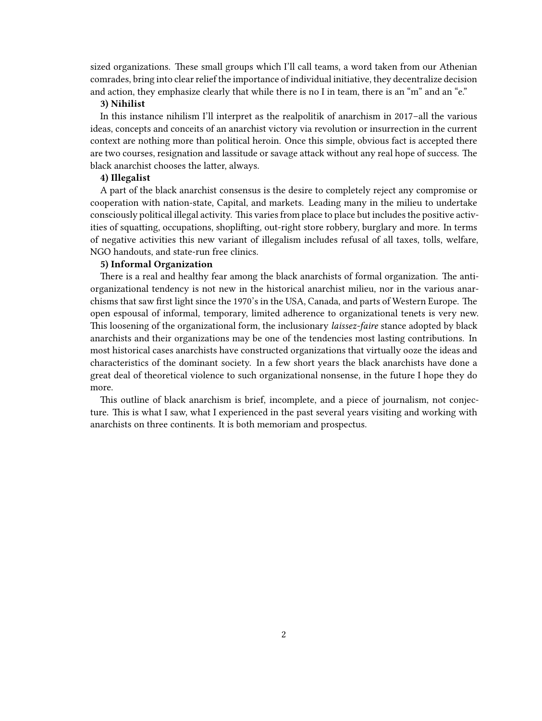sized organizations. These small groups which I'll call teams, a word taken from our Athenian comrades, bring into clear relief the importance of individual initiative, they decentralize decision and action, they emphasize clearly that while there is no I in team, there is an "m" and an "e."

# **3) Nihilist**

In this instance nihilism I'll interpret as the realpolitik of anarchism in 2017–all the various ideas, concepts and conceits of an anarchist victory via revolution or insurrection in the current context are nothing more than political heroin. Once this simple, obvious fact is accepted there are two courses, resignation and lassitude or savage attack without any real hope of success. The black anarchist chooses the latter, always.

#### **4) Illegalist**

A part of the black anarchist consensus is the desire to completely reject any compromise or cooperation with nation-state, Capital, and markets. Leading many in the milieu to undertake consciously political illegal activity. This varies from place to place but includes the positive activities of squatting, occupations, shoplifting, out-right store robbery, burglary and more. In terms of negative activities this new variant of illegalism includes refusal of all taxes, tolls, welfare, NGO handouts, and state-run free clinics.

## **5) Informal Organization**

There is a real and healthy fear among the black anarchists of formal organization. The antiorganizational tendency is not new in the historical anarchist milieu, nor in the various anarchisms that saw first light since the 1970's in the USA, Canada, and parts of Western Europe. The open espousal of informal, temporary, limited adherence to organizational tenets is very new. This loosening of the organizational form, the inclusionary *laissez-faire* stance adopted by black anarchists and their organizations may be one of the tendencies most lasting contributions. In most historical cases anarchists have constructed organizations that virtually ooze the ideas and characteristics of the dominant society. In a few short years the black anarchists have done a great deal of theoretical violence to such organizational nonsense, in the future I hope they do more.

This outline of black anarchism is brief, incomplete, and a piece of journalism, not conjecture. This is what I saw, what I experienced in the past several years visiting and working with anarchists on three continents. It is both memoriam and prospectus.